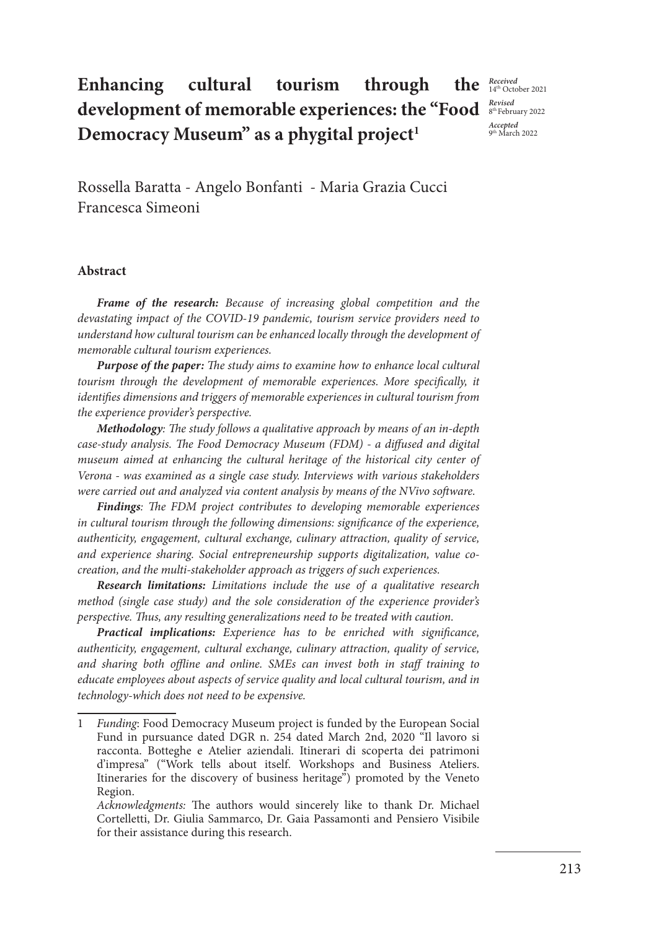# **Enhancing cultural tourism through development of memorable experiences: the "Food**  Democracy Museum" as a phygital project<sup>1</sup>

*Received*<br>14<sup>th</sup> October 2021 *Revised* 8th February 2022 *Accepted*  9th March 2022

Rossella Baratta - Angelo Bonfanti - Maria Grazia Cucci Francesca Simeoni

#### **Abstract**

*Frame of the research: Because of increasing global competition and the devastating impact of the COVID-19 pandemic, tourism service providers need to understand how cultural tourism can be enhanced locally through the development of memorable cultural tourism experiences.*

*Purpose of the paper: The study aims to examine how to enhance local cultural tourism through the development of memorable experiences. More specifically, it identifies dimensions and triggers of memorable experiences in cultural tourism from the experience provider's perspective.*

*Methodology: The study follows a qualitative approach by means of an in-depth case-study analysis. The Food Democracy Museum (FDM) - a diffused and digital museum aimed at enhancing the cultural heritage of the historical city center of Verona - was examined as a single case study. Interviews with various stakeholders were carried out and analyzed via content analysis by means of the NVivo software.*

*Findings: The FDM project contributes to developing memorable experiences in cultural tourism through the following dimensions: significance of the experience, authenticity, engagement, cultural exchange, culinary attraction, quality of service, and experience sharing. Social entrepreneurship supports digitalization, value cocreation, and the multi-stakeholder approach as triggers of such experiences.* 

*Research limitations: Limitations include the use of a qualitative research method (single case study) and the sole consideration of the experience provider's perspective. Thus, any resulting generalizations need to be treated with caution.*

*Practical implications: Experience has to be enriched with significance, authenticity, engagement, cultural exchange, culinary attraction, quality of service, and sharing both offline and online. SMEs can invest both in staff training to educate employees about aspects of service quality and local cultural tourism, and in technology-which does not need to be expensive.* 

<sup>1</sup> *Funding*: Food Democracy Museum project is funded by the European Social Fund in pursuance dated DGR n. 254 dated March 2nd, 2020 "Il lavoro si racconta. Botteghe e Atelier aziendali. Itinerari di scoperta dei patrimoni d'impresa" ("Work tells about itself. Workshops and Business Ateliers. Itineraries for the discovery of business heritage") promoted by the Veneto Region.

*Acknowledgments:* The authors would sincerely like to thank Dr. Michael Cortelletti, Dr. Giulia Sammarco, Dr. Gaia Passamonti and Pensiero Visibile for their assistance during this research.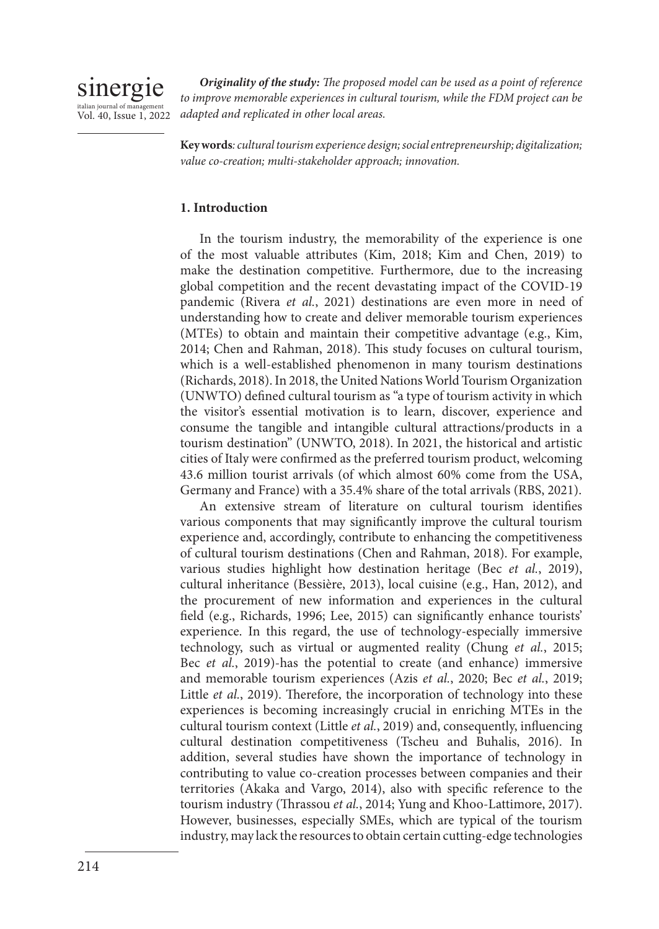

*Originality of the study: The proposed model can be used as a point of reference*  to improve memorable experiences in cultural tourism, while the FDM project can be *adapted and replicated in other local areas.*

**Key words***: cultural tourism experience design; social entrepreneurship; digitalization; value co-creation; multi-stakeholder approach; innovation.* 

## **1. Introduction**

In the tourism industry, the memorability of the experience is one of the most valuable attributes (Kim, 2018; Kim and Chen, 2019) to make the destination competitive. Furthermore, due to the increasing global competition and the recent devastating impact of the COVID-19 pandemic (Rivera *et al.*, 2021) destinations are even more in need of understanding how to create and deliver memorable tourism experiences (MTEs) to obtain and maintain their competitive advantage (e.g., Kim, 2014; Chen and Rahman, 2018). This study focuses on cultural tourism, which is a well-established phenomenon in many tourism destinations (Richards, 2018). In 2018, the United Nations World Tourism Organization (UNWTO) defined cultural tourism as "a type of tourism activity in which the visitor's essential motivation is to learn, discover, experience and consume the tangible and intangible cultural attractions/products in a tourism destination" (UNWTO, 2018). In 2021, the historical and artistic cities of Italy were confirmed as the preferred tourism product, welcoming 43.6 million tourist arrivals (of which almost 60% come from the USA, Germany and France) with a 35.4% share of the total arrivals (RBS, 2021).

An extensive stream of literature on cultural tourism identifies various components that may significantly improve the cultural tourism experience and, accordingly, contribute to enhancing the competitiveness of cultural tourism destinations (Chen and Rahman, 2018). For example, various studies highlight how destination heritage (Bec *et al.*, 2019), cultural inheritance (Bessière, 2013), local cuisine (e.g., Han, 2012), and the procurement of new information and experiences in the cultural field (e.g., Richards, 1996; Lee, 2015) can significantly enhance tourists' experience. In this regard, the use of technology-especially immersive technology, such as virtual or augmented reality (Chung *et al.*, 2015; Bec *et al.*, 2019)-has the potential to create (and enhance) immersive and memorable tourism experiences (Azis *et al.*, 2020; Bec *et al.*, 2019; Little *et al.*, 2019). Therefore, the incorporation of technology into these experiences is becoming increasingly crucial in enriching MTEs in the cultural tourism context (Little *et al.*, 2019) and, consequently, influencing cultural destination competitiveness (Tscheu and Buhalis, 2016). In addition, several studies have shown the importance of technology in contributing to value co-creation processes between companies and their territories (Akaka and Vargo, 2014), also with specific reference to the tourism industry (Thrassou *et al.*, 2014; Yung and Khoo-Lattimore, 2017). However, businesses, especially SMEs, which are typical of the tourism industry, may lack the resources to obtain certain cutting-edge technologies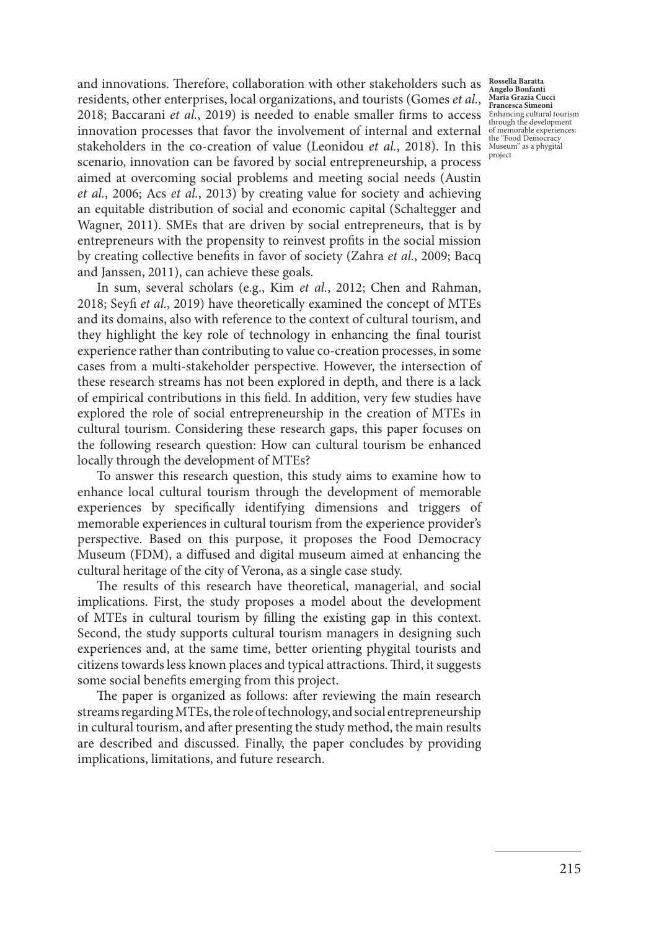2018; Baccarani *et al.*, 2019) is needed to enable smaller firms to access  $\frac{\text{Eh} \text{F}}{\text{Bh} \text{F}}$  and  $\frac{\text{Eh}}{\text{F}}$  and  $\frac{\text{Eh}}{\text{F}}$ stakeholders in the co-creation of value (Leonidou *et al.*, 2018). In this Museum" as a phygital and innovations. Therefore, collaboration with other stakeholders such as residents, other enterprises, local organizations, and tourists (Gomes *et al.*, innovation processes that favor the involvement of internal and external scenario, innovation can be favored by social entrepreneurship, a process aimed at overcoming social problems and meeting social needs (Austin *et al.*, 2006; Acs *et al.*, 2013) by creating value for society and achieving an equitable distribution of social and economic capital (Schaltegger and Wagner, 2011). SMEs that are driven by social entrepreneurs, that is by entrepreneurs with the propensity to reinvest profits in the social mission by creating collective benefits in favor of society (Zahra *et al.*, 2009; Bacq and Janssen, 2011), can achieve these goals.

In sum, several scholars (e.g., Kim *et al.*, 2012; Chen and Rahman, 2018; Seyfi *et al.*, 2019) have theoretically examined the concept of MTEs and its domains, also with reference to the context of cultural tourism, and they highlight the key role of technology in enhancing the final tourist experience rather than contributing to value co-creation processes, in some cases from a multi-stakeholder perspective. However, the intersection of these research streams has not been explored in depth, and there is a lack of empirical contributions in this field. In addition, very few studies have explored the role of social entrepreneurship in the creation of MTEs in cultural tourism. Considering these research gaps, this paper focuses on the following research question: How can cultural tourism be enhanced locally through the development of MTEs?

To answer this research question, this study aims to examine how to enhance local cultural tourism through the development of memorable experiences by specifically identifying dimensions and triggers of memorable experiences in cultural tourism from the experience provider's perspective. Based on this purpose, it proposes the Food Democracy Museum (FDM), a diffused and digital museum aimed at enhancing the cultural heritage of the city of Verona, as a single case study.

The results of this research have theoretical, managerial, and social implications. First, the study proposes a model about the development of MTEs in cultural tourism by filling the existing gap in this context. Second, the study supports cultural tourism managers in designing such experiences and, at the same time, better orienting phygital tourists and citizens towards less known places and typical attractions. Third, it suggests some social benefits emerging from this project.

The paper is organized as follows: after reviewing the main research streams regarding MTEs, the role of technology, and social entrepreneurship in cultural tourism, and after presenting the study method, the main results are described and discussed. Finally, the paper concludes by providing implications, limitations, and future research.

**Rossella Baratta Angelo Bonfanti Maria Grazia Cucci Francesca Simeoni** through the development of memorable experiences: the "Food Democracy project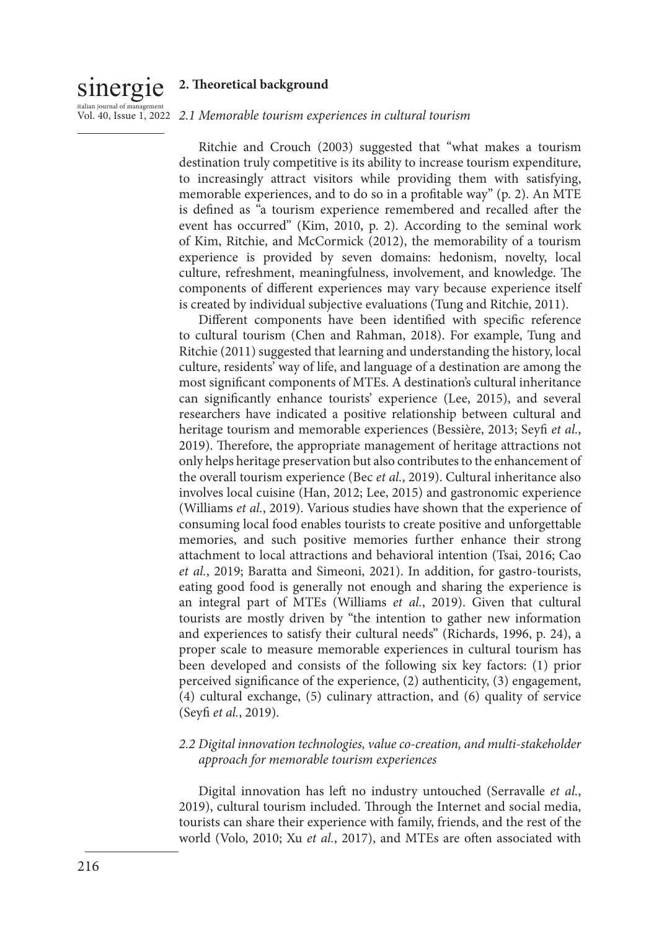# sinergie **2. Theoretical background**

# <sub>italian journal of management</sub><br>Vol. 40, Issue 1, 2022 *2.1 Memorable tourism experiences in cultural tourism*

Ritchie and Crouch (2003) suggested that "what makes a tourism destination truly competitive is its ability to increase tourism expenditure, to increasingly attract visitors while providing them with satisfying, memorable experiences, and to do so in a profitable way" (p. 2). An MTE is defined as "a tourism experience remembered and recalled after the event has occurred" (Kim, 2010, p. 2). According to the seminal work of Kim, Ritchie, and McCormick (2012), the memorability of a tourism experience is provided by seven domains: hedonism, novelty, local culture, refreshment, meaningfulness, involvement, and knowledge. The components of different experiences may vary because experience itself is created by individual subjective evaluations (Tung and Ritchie, 2011).

Different components have been identified with specific reference to cultural tourism (Chen and Rahman, 2018). For example, Tung and Ritchie (2011) suggested that learning and understanding the history, local culture, residents' way of life, and language of a destination are among the most significant components of MTEs. A destination's cultural inheritance can significantly enhance tourists' experience (Lee, 2015), and several researchers have indicated a positive relationship between cultural and heritage tourism and memorable experiences (Bessière, 2013; Seyfi *et al.*, 2019). Therefore, the appropriate management of heritage attractions not only helps heritage preservation but also contributes to the enhancement of the overall tourism experience (Bec *et al.*, 2019). Cultural inheritance also involves local cuisine (Han, 2012; Lee, 2015) and gastronomic experience (Williams *et al.*, 2019). Various studies have shown that the experience of consuming local food enables tourists to create positive and unforgettable memories, and such positive memories further enhance their strong attachment to local attractions and behavioral intention (Tsai, 2016; Cao *et al.*, 2019; Baratta and Simeoni, 2021). In addition, for gastro-tourists, eating good food is generally not enough and sharing the experience is an integral part of MTEs (Williams *et al.*, 2019). Given that cultural tourists are mostly driven by "the intention to gather new information and experiences to satisfy their cultural needs" (Richards, 1996, p. 24), a proper scale to measure memorable experiences in cultural tourism has been developed and consists of the following six key factors: (1) prior perceived significance of the experience, (2) authenticity, (3) engagement, (4) cultural exchange, (5) culinary attraction, and (6) quality of service (Seyfi *et al.*, 2019).

## *2.2 Digital innovation technologies, value co-creation, and multi-stakeholder approach for memorable tourism experiences*

Digital innovation has left no industry untouched (Serravalle *et al.*, 2019), cultural tourism included. Through the Internet and social media, tourists can share their experience with family, friends, and the rest of the world (Volo, 2010; Xu *et al.*, 2017), and MTEs are often associated with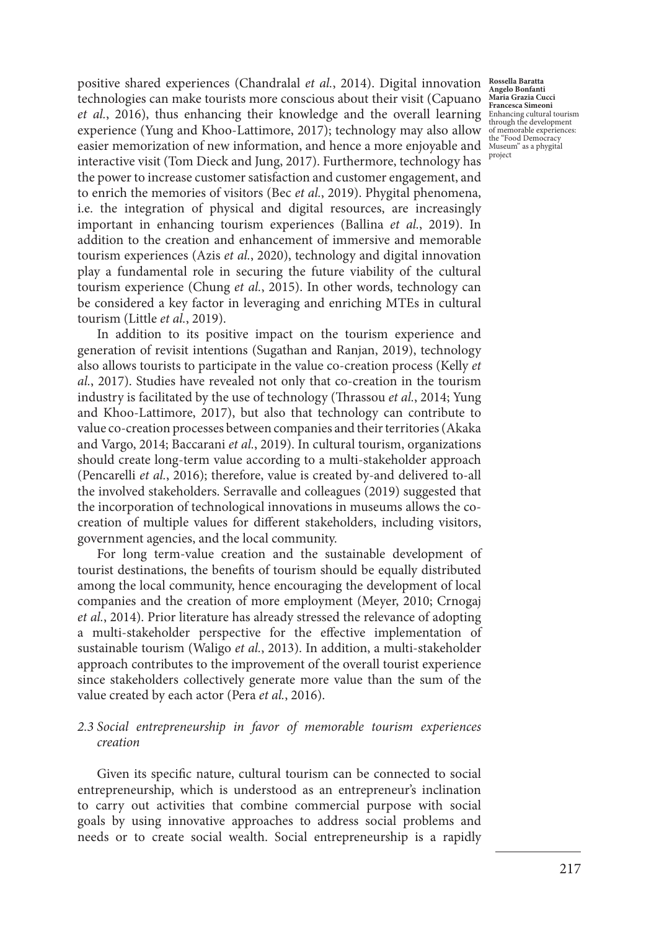positive shared experiences (Chandralal *et al.*, 2014). Digital innovation **Rossella Baratta**  technologies can make tourists more conscious about their visit (Capuano *et al.*, 2016), thus enhancing their knowledge and the overall learning experience (Yung and Khoo-Lattimore, 2017); technology may also allow easier memorization of new information, and hence a more enjoyable and interactive visit (Tom Dieck and Jung, 2017). Furthermore, technology has the power to increase customer satisfaction and customer engagement, and to enrich the memories of visitors (Bec *et al.*, 2019). Phygital phenomena, i.e. the integration of physical and digital resources, are increasingly important in enhancing tourism experiences (Ballina *et al.*, 2019). In addition to the creation and enhancement of immersive and memorable tourism experiences (Azis *et al.*, 2020), technology and digital innovation play a fundamental role in securing the future viability of the cultural tourism experience (Chung *et al.*, 2015). In other words, technology can be considered a key factor in leveraging and enriching MTEs in cultural tourism (Little *et al.*, 2019).

In addition to its positive impact on the tourism experience and generation of revisit intentions (Sugathan and Ranjan, 2019), technology also allows tourists to participate in the value co-creation process (Kelly *et al.*, 2017). Studies have revealed not only that co-creation in the tourism industry is facilitated by the use of technology (Thrassou *et al.*, 2014; Yung and Khoo-Lattimore, 2017), but also that technology can contribute to value co-creation processes between companies and their territories (Akaka and Vargo, 2014; Baccarani *et al.*, 2019). In cultural tourism, organizations should create long-term value according to a multi-stakeholder approach (Pencarelli *et al.*, 2016); therefore, value is created by-and delivered to-all the involved stakeholders. Serravalle and colleagues (2019) suggested that the incorporation of technological innovations in museums allows the cocreation of multiple values for different stakeholders, including visitors, government agencies, and the local community.

For long term-value creation and the sustainable development of tourist destinations, the benefits of tourism should be equally distributed among the local community, hence encouraging the development of local companies and the creation of more employment (Meyer, 2010; Crnogaj *et al.*, 2014). Prior literature has already stressed the relevance of adopting a multi-stakeholder perspective for the effective implementation of sustainable tourism (Waligo *et al.*, 2013). In addition, a multi-stakeholder approach contributes to the improvement of the overall tourist experience since stakeholders collectively generate more value than the sum of the value created by each actor (Pera *et al.*, 2016).

## *2.3 Social entrepreneurship in favor of memorable tourism experiences creation*

Given its specific nature, cultural tourism can be connected to social entrepreneurship, which is understood as an entrepreneur's inclination to carry out activities that combine commercial purpose with social goals by using innovative approaches to address social problems and needs or to create social wealth. Social entrepreneurship is a rapidly

**Angelo Bonfanti Maria Grazia Cucci Francesca Simeoni** Enhancing cultural tourism through the development of memorable experiences: the "Food Democracy Museum" as a phygital project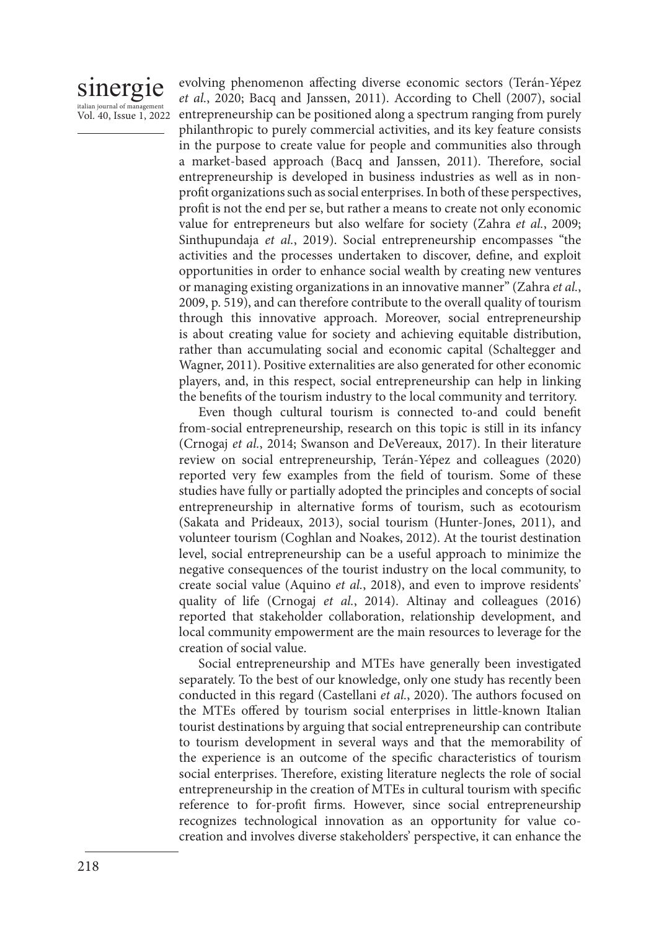## sinergie italian journal of manage Vol. 40, Issue 1, 2022

evolving phenomenon affecting diverse economic sectors (Terán-Yépez *et al.*, 2020; Bacq and Janssen, 2011). According to Chell (2007), social entrepreneurship can be positioned along a spectrum ranging from purely philanthropic to purely commercial activities, and its key feature consists in the purpose to create value for people and communities also through a market-based approach (Bacq and Janssen, 2011). Therefore, social entrepreneurship is developed in business industries as well as in nonprofit organizations such as social enterprises. In both of these perspectives, profit is not the end per se, but rather a means to create not only economic value for entrepreneurs but also welfare for society (Zahra *et al.*, 2009; Sinthupundaja *et al.*, 2019). Social entrepreneurship encompasses "the activities and the processes undertaken to discover, define, and exploit opportunities in order to enhance social wealth by creating new ventures or managing existing organizations in an innovative manner" (Zahra *et al.*, 2009, p. 519), and can therefore contribute to the overall quality of tourism through this innovative approach. Moreover, social entrepreneurship is about creating value for society and achieving equitable distribution, rather than accumulating social and economic capital (Schaltegger and Wagner, 2011). Positive externalities are also generated for other economic players, and, in this respect, social entrepreneurship can help in linking the benefits of the tourism industry to the local community and territory.

Even though cultural tourism is connected to-and could benefit from-social entrepreneurship, research on this topic is still in its infancy (Crnogaj *et al.*, 2014; Swanson and DeVereaux, 2017). In their literature review on social entrepreneurship, Terán-Yépez and colleagues (2020) reported very few examples from the field of tourism. Some of these studies have fully or partially adopted the principles and concepts of social entrepreneurship in alternative forms of tourism, such as ecotourism (Sakata and Prideaux, 2013), social tourism (Hunter-Jones, 2011), and volunteer tourism (Coghlan and Noakes, 2012). At the tourist destination level, social entrepreneurship can be a useful approach to minimize the negative consequences of the tourist industry on the local community, to create social value (Aquino *et al.*, 2018), and even to improve residents' quality of life (Crnogaj *et al.*, 2014). Altinay and colleagues (2016) reported that stakeholder collaboration, relationship development, and local community empowerment are the main resources to leverage for the creation of social value.

Social entrepreneurship and MTEs have generally been investigated separately. To the best of our knowledge, only one study has recently been conducted in this regard (Castellani *et al.*, 2020). The authors focused on the MTEs offered by tourism social enterprises in little-known Italian tourist destinations by arguing that social entrepreneurship can contribute to tourism development in several ways and that the memorability of the experience is an outcome of the specific characteristics of tourism social enterprises. Therefore, existing literature neglects the role of social entrepreneurship in the creation of MTEs in cultural tourism with specific reference to for-profit firms. However, since social entrepreneurship recognizes technological innovation as an opportunity for value cocreation and involves diverse stakeholders' perspective, it can enhance the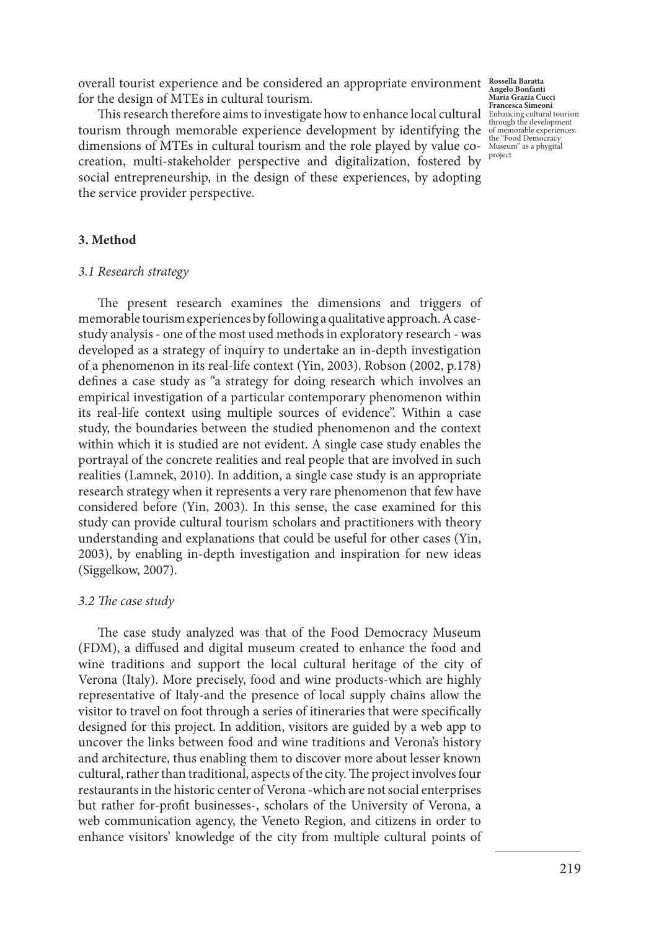overall tourist experience and be considered an appropriate environment **Rossella Baratta**  for the design of MTEs in cultural tourism.

**This research therefore aims to investigate how to enhance local cultural Enhancies Simeoni**<br>
This research therefore aims to investigate how to enhance local cultural tourism cultural tourism cultural tourism through the tourism through memorable experience development by identifying the dimensions of MTEs in cultural tourism and the role played by value cocreation, multi-stakeholder perspective and digitalization, fostered by social entrepreneurship, in the design of these experiences, by adopting the service provider perspective.

**Angelo Bonfanti Maria Grazia Cucci**  of memorable experiences: the "Food Democracy Museum" as a phygital project

#### **3. Method**

#### *3.1 Research strategy*

The present research examines the dimensions and triggers of memorable tourism experiences by following a qualitative approach. A casestudy analysis - one of the most used methods in exploratory research - was developed as a strategy of inquiry to undertake an in-depth investigation of a phenomenon in its real-life context (Yin, 2003). Robson (2002, p.178) defines a case study as "a strategy for doing research which involves an empirical investigation of a particular contemporary phenomenon within its real-life context using multiple sources of evidence". Within a case study, the boundaries between the studied phenomenon and the context within which it is studied are not evident. A single case study enables the portrayal of the concrete realities and real people that are involved in such realities (Lamnek, 2010). In addition, a single case study is an appropriate research strategy when it represents a very rare phenomenon that few have considered before (Yin, 2003). In this sense, the case examined for this study can provide cultural tourism scholars and practitioners with theory understanding and explanations that could be useful for other cases (Yin, 2003), by enabling in-depth investigation and inspiration for new ideas (Siggelkow, 2007).

#### *3.2 The case study*

The case study analyzed was that of the Food Democracy Museum (FDM), a diffused and digital museum created to enhance the food and wine traditions and support the local cultural heritage of the city of Verona (Italy). More precisely, food and wine products-which are highly representative of Italy-and the presence of local supply chains allow the visitor to travel on foot through a series of itineraries that were specifically designed for this project. In addition, visitors are guided by a web app to uncover the links between food and wine traditions and Verona's history and architecture, thus enabling them to discover more about lesser known cultural, rather than traditional, aspects of the city. The project involves four restaurants in the historic center of Verona -which are not social enterprises but rather for-profit businesses-, scholars of the University of Verona, a web communication agency, the Veneto Region, and citizens in order to enhance visitors' knowledge of the city from multiple cultural points of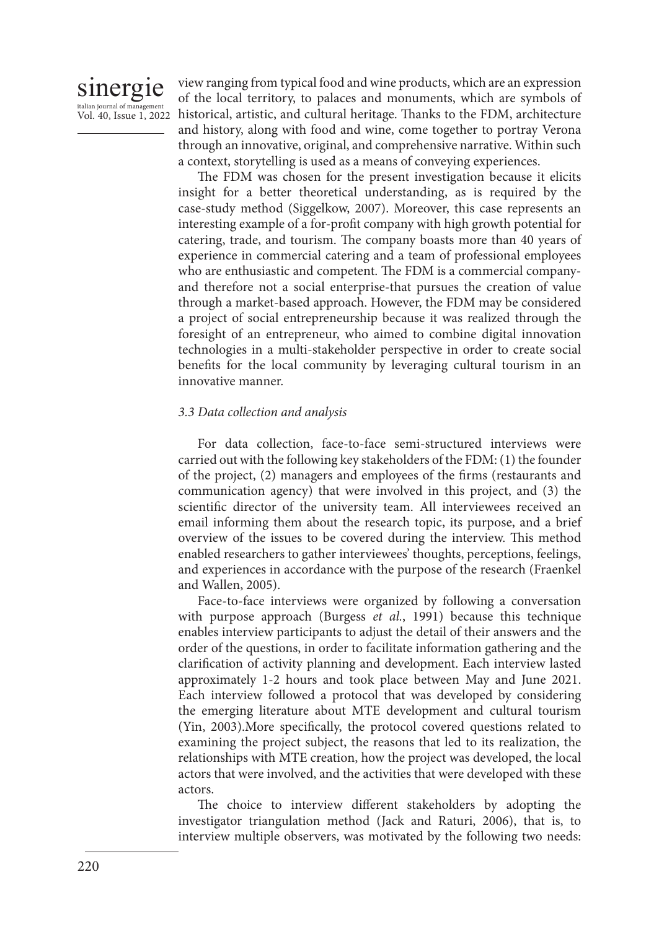

view ranging from typical food and wine products, which are an expression of the local territory, to palaces and monuments, which are symbols of historical, artistic, and cultural heritage. Thanks to the FDM, architecture and history, along with food and wine, come together to portray Verona through an innovative, original, and comprehensive narrative. Within such a context, storytelling is used as a means of conveying experiences.

The FDM was chosen for the present investigation because it elicits insight for a better theoretical understanding, as is required by the case-study method (Siggelkow, 2007). Moreover, this case represents an interesting example of a for-profit company with high growth potential for catering, trade, and tourism. The company boasts more than 40 years of experience in commercial catering and a team of professional employees who are enthusiastic and competent. The FDM is a commercial companyand therefore not a social enterprise-that pursues the creation of value through a market-based approach. However, the FDM may be considered a project of social entrepreneurship because it was realized through the foresight of an entrepreneur, who aimed to combine digital innovation technologies in a multi-stakeholder perspective in order to create social benefits for the local community by leveraging cultural tourism in an innovative manner.

### *3.3 Data collection and analysis*

For data collection, face-to-face semi-structured interviews were carried out with the following key stakeholders of the FDM: (1) the founder of the project, (2) managers and employees of the firms (restaurants and communication agency) that were involved in this project, and (3) the scientific director of the university team. All interviewees received an email informing them about the research topic, its purpose, and a brief overview of the issues to be covered during the interview. This method enabled researchers to gather interviewees' thoughts, perceptions, feelings, and experiences in accordance with the purpose of the research (Fraenkel and Wallen, 2005).

Face-to-face interviews were organized by following a conversation with purpose approach (Burgess *et al.*, 1991) because this technique enables interview participants to adjust the detail of their answers and the order of the questions, in order to facilitate information gathering and the clarification of activity planning and development. Each interview lasted approximately 1-2 hours and took place between May and June 2021. Each interview followed a protocol that was developed by considering the emerging literature about MTE development and cultural tourism (Yin, 2003).More specifically, the protocol covered questions related to examining the project subject, the reasons that led to its realization, the relationships with MTE creation, how the project was developed, the local actors that were involved, and the activities that were developed with these actors.

The choice to interview different stakeholders by adopting the investigator triangulation method (Jack and Raturi, 2006), that is, to interview multiple observers, was motivated by the following two needs: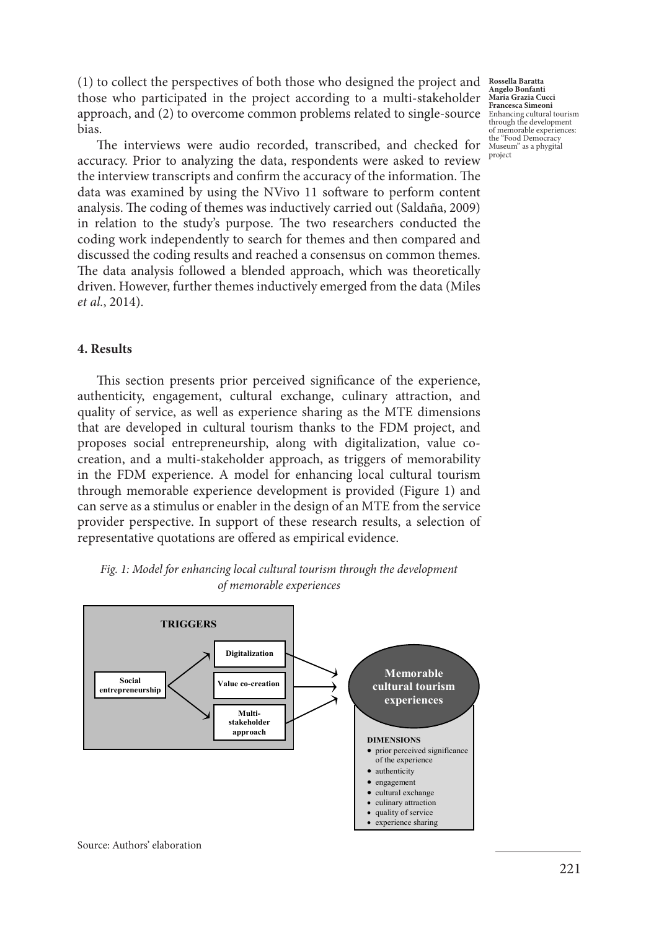(1) to collect the perspectives of both those who designed the project and those who participated in the project according to a multi-stakeholder approach, and (2) to overcome common problems related to single-source Enhancing cultural tourism bias.

The interviews were audio recorded, transcribed, and checked for accuracy. Prior to analyzing the data, respondents were asked to review the interview transcripts and confirm the accuracy of the information. The data was examined by using the NVivo 11 software to perform content analysis. The coding of themes was inductively carried out (Saldaña, 2009) in relation to the study's purpose. The two researchers conducted the coding work independently to search for themes and then compared and discussed the coding results and reached a consensus on common themes. The data analysis followed a blended approach, which was theoretically driven. However, further themes inductively emerged from the data (Miles *et al.*, 2014).

#### **4. Results**

This section presents prior perceived significance of the experience, authenticity, engagement, cultural exchange, culinary attraction, and quality of service, as well as experience sharing as the MTE dimensions that are developed in cultural tourism thanks to the FDM project, and proposes social entrepreneurship, along with digitalization, value cocreation, and a multi-stakeholder approach, as triggers of memorability in the FDM experience. A model for enhancing local cultural tourism through memorable experience development is provided (Figure 1) and can serve as a stimulus or enabler in the design of an MTE from the service provider perspective. In support of these research results, a selection of representative quotations are offered as empirical evidence.



*Fig. 1: Model for enhancing local cultural tourism through the development of memorable experiences* 

**Rossella Baratta Angelo Bonfanti Maria Grazia Cucci**  of memorable experiences: the "Food Democracy Museum" as a phygital project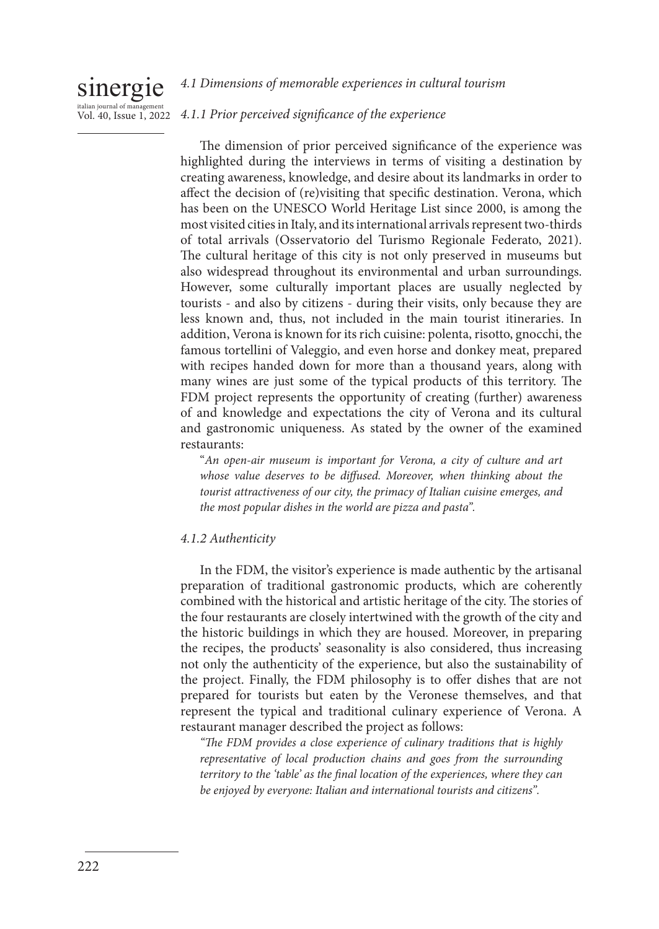#### sinergie italian journal of ma Vol. 40, Issue 1, 2022 *4.1 Dimensions of memorable experiences in cultural tourism 4.1.1 Prior perceived significance of the experience*

The dimension of prior perceived significance of the experience was highlighted during the interviews in terms of visiting a destination by creating awareness, knowledge, and desire about its landmarks in order to affect the decision of (re)visiting that specific destination. Verona, which has been on the UNESCO World Heritage List since 2000, is among the most visited cities in Italy, and its international arrivals represent two-thirds of total arrivals (Osservatorio del Turismo Regionale Federato, 2021). The cultural heritage of this city is not only preserved in museums but also widespread throughout its environmental and urban surroundings. However, some culturally important places are usually neglected by tourists - and also by citizens - during their visits, only because they are less known and, thus, not included in the main tourist itineraries. In addition, Verona is known for its rich cuisine: polenta, risotto, gnocchi, the famous tortellini of Valeggio, and even horse and donkey meat, prepared with recipes handed down for more than a thousand years, along with many wines are just some of the typical products of this territory. The FDM project represents the opportunity of creating (further) awareness of and knowledge and expectations the city of Verona and its cultural and gastronomic uniqueness. As stated by the owner of the examined restaurants:

"*An open-air museum is important for Verona, a city of culture and art whose value deserves to be diffused. Moreover, when thinking about the tourist attractiveness of our city, the primacy of Italian cuisine emerges, and the most popular dishes in the world are pizza and pasta".* 

## *4.1.2 Authenticity*

In the FDM, the visitor's experience is made authentic by the artisanal preparation of traditional gastronomic products, which are coherently combined with the historical and artistic heritage of the city. The stories of the four restaurants are closely intertwined with the growth of the city and the historic buildings in which they are housed. Moreover, in preparing the recipes, the products' seasonality is also considered, thus increasing not only the authenticity of the experience, but also the sustainability of the project. Finally, the FDM philosophy is to offer dishes that are not prepared for tourists but eaten by the Veronese themselves, and that represent the typical and traditional culinary experience of Verona. A restaurant manager described the project as follows:

*"The FDM provides a close experience of culinary traditions that is highly representative of local production chains and goes from the surrounding territory to the 'table' as the final location of the experiences, where they can be enjoyed by everyone: Italian and international tourists and citizens".*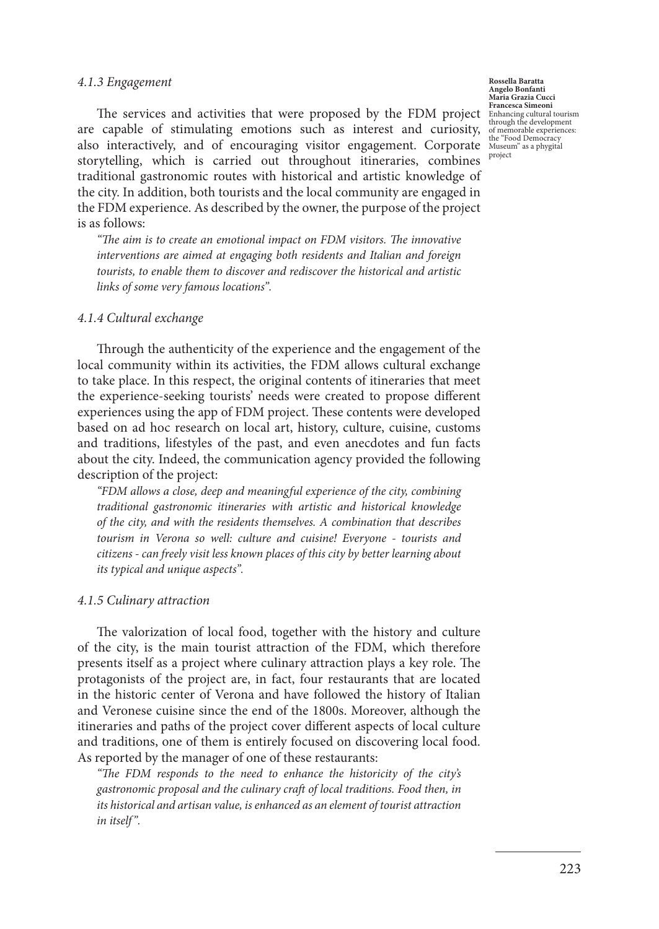#### *4.1.3 Engagement*

The services and activities that were proposed by the FDM project are capable of stimulating emotions such as interest and curiosity, also interactively, and of encouraging visitor engagement. Corporate storytelling, which is carried out throughout itineraries, combines traditional gastronomic routes with historical and artistic knowledge of the city. In addition, both tourists and the local community are engaged in the FDM experience. As described by the owner, the purpose of the project is as follows:

*"The aim is to create an emotional impact on FDM visitors. The innovative interventions are aimed at engaging both residents and Italian and foreign tourists, to enable them to discover and rediscover the historical and artistic links of some very famous locations".* 

#### *4.1.4 Cultural exchange*

Through the authenticity of the experience and the engagement of the local community within its activities, the FDM allows cultural exchange to take place. In this respect, the original contents of itineraries that meet the experience-seeking tourists' needs were created to propose different experiences using the app of FDM project. These contents were developed based on ad hoc research on local art, history, culture, cuisine, customs and traditions, lifestyles of the past, and even anecdotes and fun facts about the city. Indeed, the communication agency provided the following description of the project:

*"FDM allows a close, deep and meaningful experience of the city, combining traditional gastronomic itineraries with artistic and historical knowledge of the city, and with the residents themselves. A combination that describes tourism in Verona so well: culture and cuisine! Everyone - tourists and citizens - can freely visit less known places of this city by better learning about its typical and unique aspects".* 

#### *4.1.5 Culinary attraction*

The valorization of local food, together with the history and culture of the city, is the main tourist attraction of the FDM, which therefore presents itself as a project where culinary attraction plays a key role. The protagonists of the project are, in fact, four restaurants that are located in the historic center of Verona and have followed the history of Italian and Veronese cuisine since the end of the 1800s. Moreover, although the itineraries and paths of the project cover different aspects of local culture and traditions, one of them is entirely focused on discovering local food. As reported by the manager of one of these restaurants:

*"The FDM responds to the need to enhance the historicity of the city's gastronomic proposal and the culinary craft of local traditions. Food then, in its historical and artisan value, is enhanced as an element of tourist attraction in itself".*

**Rossella Baratta Angelo Bonfanti Maria Grazia Cucci Francesca Simeoni** Enhancing cultural tourism through the development of memorable experiences: the "Food Democracy Museum" as a phygital project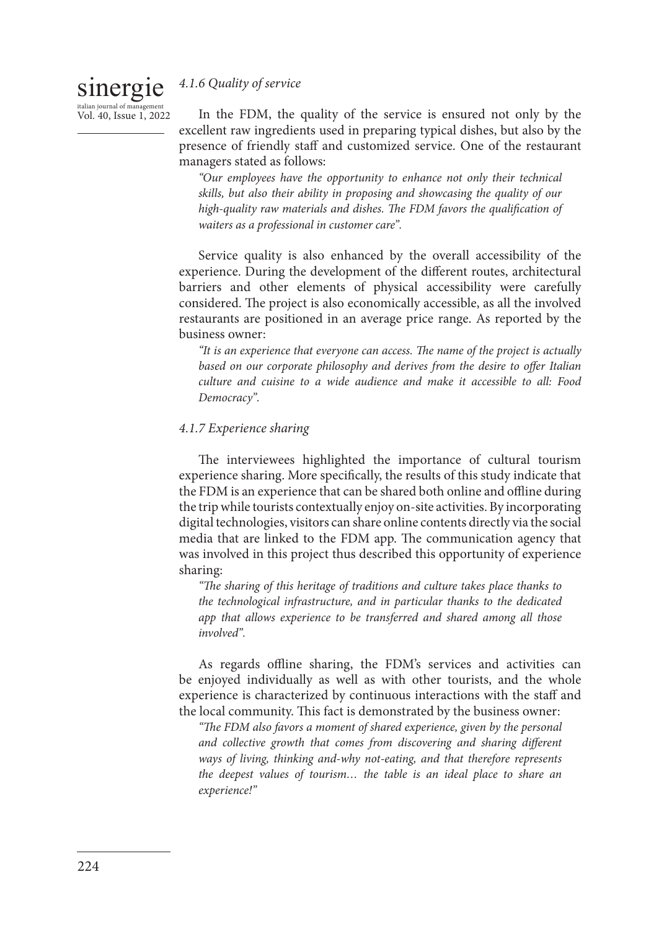## *4.1.6 Quality of service*

sinergie italian journal of ma Vol. 40, Issue 1, 2022

In the FDM, the quality of the service is ensured not only by the excellent raw ingredients used in preparing typical dishes, but also by the presence of friendly staff and customized service. One of the restaurant managers stated as follows:

*"Our employees have the opportunity to enhance not only their technical skills, but also their ability in proposing and showcasing the quality of our high-quality raw materials and dishes. The FDM favors the qualification of waiters as a professional in customer care".*

Service quality is also enhanced by the overall accessibility of the experience. During the development of the different routes, architectural barriers and other elements of physical accessibility were carefully considered. The project is also economically accessible, as all the involved restaurants are positioned in an average price range. As reported by the business owner:

*"It is an experience that everyone can access. The name of the project is actually based on our corporate philosophy and derives from the desire to offer Italian culture and cuisine to a wide audience and make it accessible to all: Food Democracy".*

## *4.1.7 Experience sharing*

The interviewees highlighted the importance of cultural tourism experience sharing. More specifically, the results of this study indicate that the FDM is an experience that can be shared both online and offline during the trip while tourists contextually enjoy on-site activities. By incorporating digital technologies, visitors can share online contents directly via the social media that are linked to the FDM app. The communication agency that was involved in this project thus described this opportunity of experience sharing:

*"The sharing of this heritage of traditions and culture takes place thanks to the technological infrastructure, and in particular thanks to the dedicated app that allows experience to be transferred and shared among all those involved".* 

As regards offline sharing, the FDM's services and activities can be enjoyed individually as well as with other tourists, and the whole experience is characterized by continuous interactions with the staff and the local community. This fact is demonstrated by the business owner:

*"The FDM also favors a moment of shared experience, given by the personal and collective growth that comes from discovering and sharing different ways of living, thinking and-why not-eating, and that therefore represents the deepest values of tourism… the table is an ideal place to share an experience!"*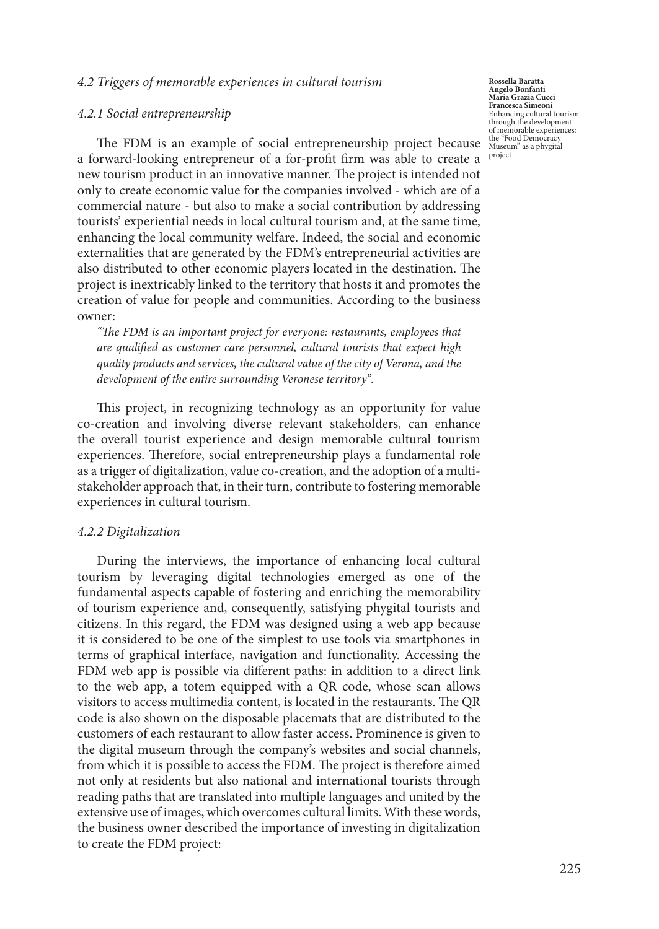### *4.2 Triggers of memorable experiences in cultural tourism*

#### *4.2.1 Social entrepreneurship*

The FDM is an example of social entrepreneurship project because a forward-looking entrepreneur of a for-profit firm was able to create a new tourism product in an innovative manner. The project is intended not only to create economic value for the companies involved - which are of a commercial nature - but also to make a social contribution by addressing tourists' experiential needs in local cultural tourism and, at the same time, enhancing the local community welfare. Indeed, the social and economic externalities that are generated by the FDM's entrepreneurial activities are also distributed to other economic players located in the destination. The project is inextricably linked to the territory that hosts it and promotes the creation of value for people and communities. According to the business owner:

*"The FDM is an important project for everyone: restaurants, employees that are qualified as customer care personnel, cultural tourists that expect high quality products and services, the cultural value of the city of Verona, and the development of the entire surrounding Veronese territory".* 

This project, in recognizing technology as an opportunity for value co-creation and involving diverse relevant stakeholders, can enhance the overall tourist experience and design memorable cultural tourism experiences. Therefore, social entrepreneurship plays a fundamental role as a trigger of digitalization, value co-creation, and the adoption of a multistakeholder approach that, in their turn, contribute to fostering memorable experiences in cultural tourism.

#### *4.2.2 Digitalization*

During the interviews, the importance of enhancing local cultural tourism by leveraging digital technologies emerged as one of the fundamental aspects capable of fostering and enriching the memorability of tourism experience and, consequently, satisfying phygital tourists and citizens. In this regard, the FDM was designed using a web app because it is considered to be one of the simplest to use tools via smartphones in terms of graphical interface, navigation and functionality. Accessing the FDM web app is possible via different paths: in addition to a direct link to the web app, a totem equipped with a QR code, whose scan allows visitors to access multimedia content, is located in the restaurants. The QR code is also shown on the disposable placemats that are distributed to the customers of each restaurant to allow faster access. Prominence is given to the digital museum through the company's websites and social channels, from which it is possible to access the FDM. The project is therefore aimed not only at residents but also national and international tourists through reading paths that are translated into multiple languages and united by the extensive use of images, which overcomes cultural limits. With these words, the business owner described the importance of investing in digitalization to create the FDM project:

**Rossella Baratta Angelo Bonfanti Maria Grazia Cucci Francesca Simeoni** Enhancing cultural tourism through the development of memorable experiences: the "Food Democracy Museum" as a phygital project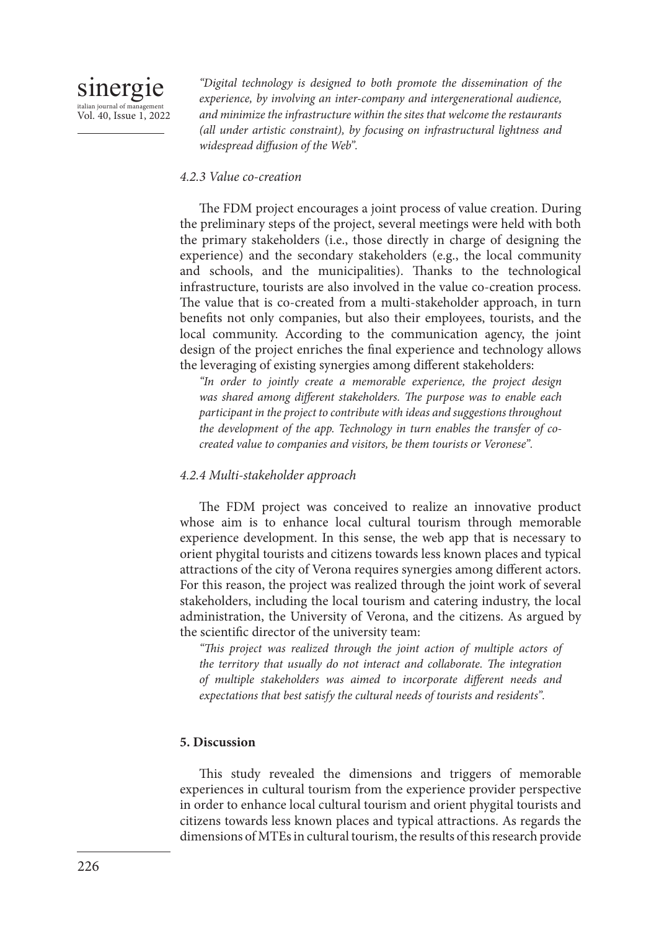*"Digital technology is designed to both promote the dissemination of the experience, by involving an inter-company and intergenerational audience, and minimize the infrastructure within the sites that welcome the restaurants (all under artistic constraint), by focusing on infrastructural lightness and widespread diffusion of the Web".*

## *4.2.3 Value co-creation*

The FDM project encourages a joint process of value creation. During the preliminary steps of the project, several meetings were held with both the primary stakeholders (i.e., those directly in charge of designing the experience) and the secondary stakeholders (e.g., the local community and schools, and the municipalities). Thanks to the technological infrastructure, tourists are also involved in the value co-creation process. The value that is co-created from a multi-stakeholder approach, in turn benefits not only companies, but also their employees, tourists, and the local community. According to the communication agency, the joint design of the project enriches the final experience and technology allows the leveraging of existing synergies among different stakeholders:

*"In order to jointly create a memorable experience, the project design was shared among different stakeholders. The purpose was to enable each participant in the project to contribute with ideas and suggestions throughout the development of the app. Technology in turn enables the transfer of cocreated value to companies and visitors, be them tourists or Veronese".* 

## *4.2.4 Multi-stakeholder approach*

The FDM project was conceived to realize an innovative product whose aim is to enhance local cultural tourism through memorable experience development. In this sense, the web app that is necessary to orient phygital tourists and citizens towards less known places and typical attractions of the city of Verona requires synergies among different actors. For this reason, the project was realized through the joint work of several stakeholders, including the local tourism and catering industry, the local administration, the University of Verona, and the citizens. As argued by the scientific director of the university team:

*"This project was realized through the joint action of multiple actors of the territory that usually do not interact and collaborate. The integration of multiple stakeholders was aimed to incorporate different needs and expectations that best satisfy the cultural needs of tourists and residents".*

## **5. Discussion**

This study revealed the dimensions and triggers of memorable experiences in cultural tourism from the experience provider perspective in order to enhance local cultural tourism and orient phygital tourists and citizens towards less known places and typical attractions. As regards the dimensions of MTEs in cultural tourism, the results of this research provide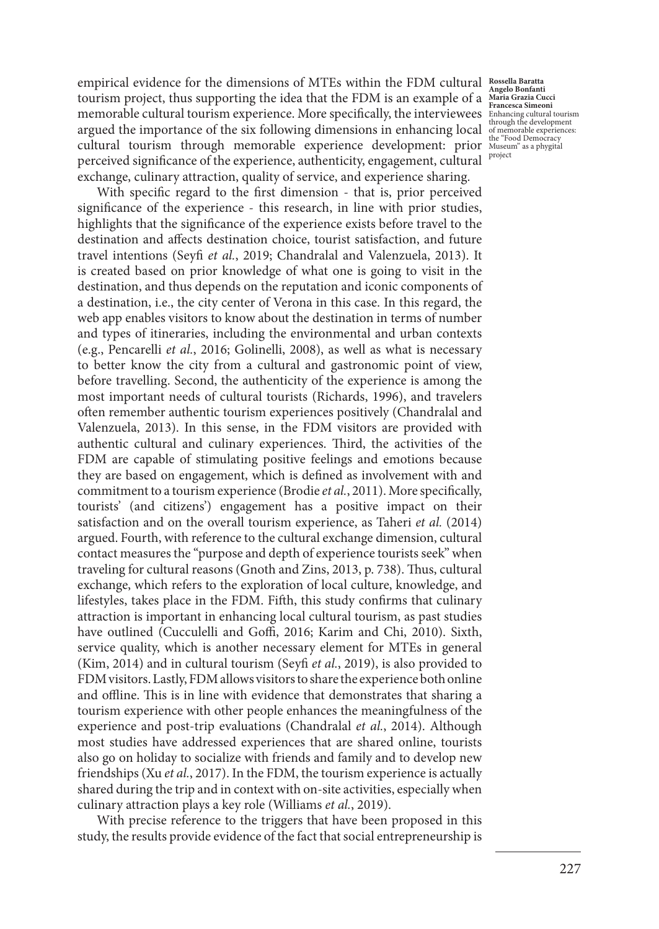empirical evidence for the dimensions of MTEs within the FDM cultural **Rossella Baratta**  tourism project, thus supporting the idea that the FDM is an example of a **Angelo Bonfanti Maria Grazia Cucci Francesca Simeoni** memorable cultural tourism experience. More specifically, the interviewees Enhancing cultural tourism<br>https://www.https://www.https://www.https://www.https://www.https://www.https://www.https://www.https://www.https://www. argued the importance of the six following dimensions in enhancing local cultural tourism through memorable experience development: prior the "Food Democracy Museum" as a phygital perceived significance of the experience, authenticity, engagement, cultural exchange, culinary attraction, quality of service, and experience sharing.

With specific regard to the first dimension - that is, prior perceived significance of the experience - this research, in line with prior studies, highlights that the significance of the experience exists before travel to the destination and affects destination choice, tourist satisfaction, and future travel intentions (Seyfi *et al.*, 2019; Chandralal and Valenzuela, 2013). It is created based on prior knowledge of what one is going to visit in the destination, and thus depends on the reputation and iconic components of a destination, i.e., the city center of Verona in this case. In this regard, the web app enables visitors to know about the destination in terms of number and types of itineraries, including the environmental and urban contexts (e.g., Pencarelli *et al.*, 2016; Golinelli, 2008), as well as what is necessary to better know the city from a cultural and gastronomic point of view, before travelling. Second, the authenticity of the experience is among the most important needs of cultural tourists (Richards, 1996), and travelers often remember authentic tourism experiences positively (Chandralal and Valenzuela, 2013). In this sense, in the FDM visitors are provided with authentic cultural and culinary experiences. Third, the activities of the FDM are capable of stimulating positive feelings and emotions because they are based on engagement, which is defined as involvement with and commitment to a tourism experience (Brodie *et al.*, 2011). More specifically, tourists' (and citizens') engagement has a positive impact on their satisfaction and on the overall tourism experience, as Taheri *et al.* (2014) argued. Fourth, with reference to the cultural exchange dimension, cultural contact measures the "purpose and depth of experience tourists seek" when traveling for cultural reasons (Gnoth and Zins, 2013, p. 738). Thus, cultural exchange, which refers to the exploration of local culture, knowledge, and lifestyles, takes place in the FDM. Fifth, this study confirms that culinary attraction is important in enhancing local cultural tourism, as past studies have outlined (Cucculelli and Goffi, 2016; Karim and Chi, 2010). Sixth, service quality, which is another necessary element for MTEs in general (Kim, 2014) and in cultural tourism (Seyfi *et al.*, 2019), is also provided to FDM visitors. Lastly, FDM allows visitors to share the experience both online and offline. This is in line with evidence that demonstrates that sharing a tourism experience with other people enhances the meaningfulness of the experience and post-trip evaluations (Chandralal *et al.*, 2014). Although most studies have addressed experiences that are shared online, tourists also go on holiday to socialize with friends and family and to develop new friendships (Xu *et al.*, 2017). In the FDM, the tourism experience is actually shared during the trip and in context with on-site activities, especially when culinary attraction plays a key role (Williams *et al.*, 2019).

With precise reference to the triggers that have been proposed in this study, the results provide evidence of the fact that social entrepreneurship is

of memorable experiences: project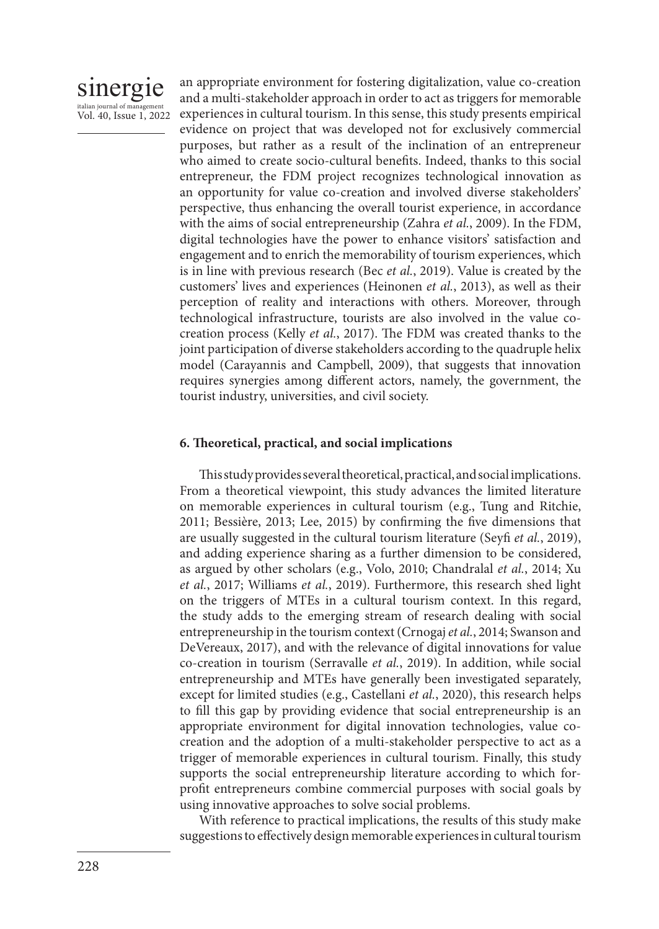

an appropriate environment for fostering digitalization, value co-creation and a multi-stakeholder approach in order to act as triggers for memorable experiences in cultural tourism. In this sense, this study presents empirical evidence on project that was developed not for exclusively commercial purposes, but rather as a result of the inclination of an entrepreneur who aimed to create socio-cultural benefits. Indeed, thanks to this social entrepreneur, the FDM project recognizes technological innovation as an opportunity for value co-creation and involved diverse stakeholders' perspective, thus enhancing the overall tourist experience, in accordance with the aims of social entrepreneurship (Zahra *et al.*, 2009). In the FDM, digital technologies have the power to enhance visitors' satisfaction and engagement and to enrich the memorability of tourism experiences, which is in line with previous research (Bec *et al.*, 2019). Value is created by the customers' lives and experiences (Heinonen *et al.*, 2013), as well as their perception of reality and interactions with others. Moreover, through technological infrastructure, tourists are also involved in the value cocreation process (Kelly *et al.*, 2017). The FDM was created thanks to the joint participation of diverse stakeholders according to the quadruple helix model (Carayannis and Campbell, 2009), that suggests that innovation requires synergies among different actors, namely, the government, the tourist industry, universities, and civil society.

### **6. Theoretical, practical, and social implications**

This study provides several theoretical, practical, and social implications. From a theoretical viewpoint, this study advances the limited literature on memorable experiences in cultural tourism (e.g., Tung and Ritchie, 2011; Bessière, 2013; Lee, 2015) by confirming the five dimensions that are usually suggested in the cultural tourism literature (Seyfi *et al.*, 2019), and adding experience sharing as a further dimension to be considered, as argued by other scholars (e.g., Volo, 2010; Chandralal *et al.*, 2014; Xu *et al.*, 2017; Williams *et al.*, 2019). Furthermore, this research shed light on the triggers of MTEs in a cultural tourism context. In this regard, the study adds to the emerging stream of research dealing with social entrepreneurship in the tourism context (Crnogaj *et al.*, 2014; Swanson and DeVereaux, 2017), and with the relevance of digital innovations for value co-creation in tourism (Serravalle *et al.*, 2019). In addition, while social entrepreneurship and MTEs have generally been investigated separately, except for limited studies (e.g., Castellani *et al.*, 2020), this research helps to fill this gap by providing evidence that social entrepreneurship is an appropriate environment for digital innovation technologies, value cocreation and the adoption of a multi-stakeholder perspective to act as a trigger of memorable experiences in cultural tourism. Finally, this study supports the social entrepreneurship literature according to which forprofit entrepreneurs combine commercial purposes with social goals by using innovative approaches to solve social problems.

With reference to practical implications, the results of this study make suggestions to effectively design memorable experiences in cultural tourism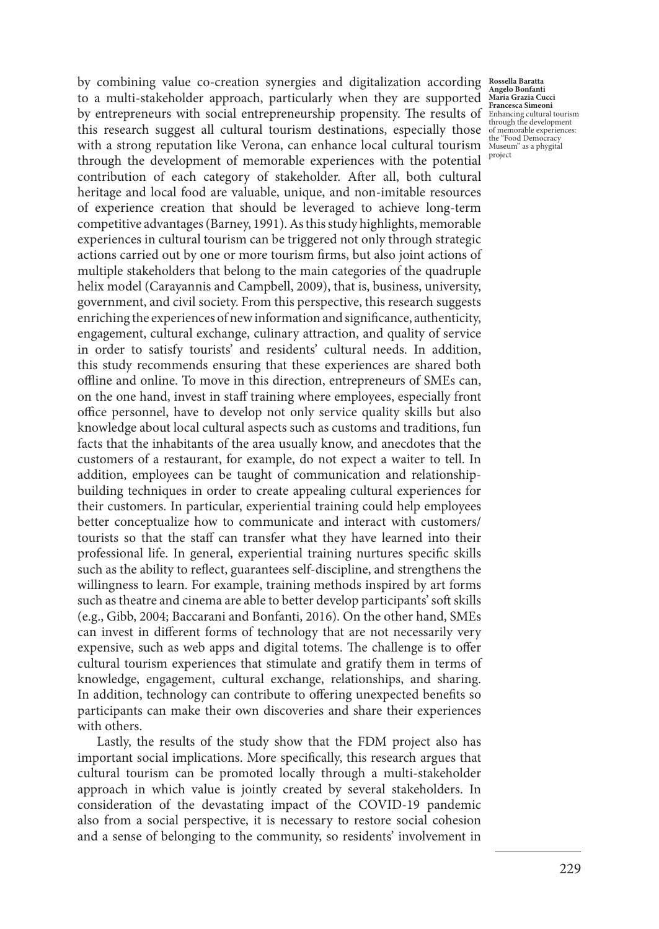by combining value co-creation synergies and digitalization according **Rossella Baratta**  to a multi-stakeholder approach, particularly when they are supported by entrepreneurs with social entrepreneurship propensity. The results of Enhancing cultural tourism this research suggest all cultural tourism destinations, especially those of memorable experiences: with a strong reputation like Verona, can enhance local cultural tourism Museum" as a phygital through the development of memorable experiences with the potential contribution of each category of stakeholder. After all, both cultural heritage and local food are valuable, unique, and non-imitable resources of experience creation that should be leveraged to achieve long-term competitive advantages (Barney, 1991). As this study highlights, memorable experiences in cultural tourism can be triggered not only through strategic actions carried out by one or more tourism firms, but also joint actions of multiple stakeholders that belong to the main categories of the quadruple helix model (Carayannis and Campbell, 2009), that is, business, university, government, and civil society. From this perspective, this research suggests enriching the experiences of new information and significance, authenticity, engagement, cultural exchange, culinary attraction, and quality of service in order to satisfy tourists' and residents' cultural needs. In addition, this study recommends ensuring that these experiences are shared both offline and online. To move in this direction, entrepreneurs of SMEs can, on the one hand, invest in staff training where employees, especially front office personnel, have to develop not only service quality skills but also knowledge about local cultural aspects such as customs and traditions, fun facts that the inhabitants of the area usually know, and anecdotes that the customers of a restaurant, for example, do not expect a waiter to tell. In addition, employees can be taught of communication and relationshipbuilding techniques in order to create appealing cultural experiences for their customers. In particular, experiential training could help employees better conceptualize how to communicate and interact with customers/ tourists so that the staff can transfer what they have learned into their professional life. In general, experiential training nurtures specific skills such as the ability to reflect, guarantees self-discipline, and strengthens the willingness to learn. For example, training methods inspired by art forms such as theatre and cinema are able to better develop participants' soft skills (e.g., Gibb, 2004; Baccarani and Bonfanti, 2016). On the other hand, SMEs can invest in different forms of technology that are not necessarily very expensive, such as web apps and digital totems. The challenge is to offer cultural tourism experiences that stimulate and gratify them in terms of knowledge, engagement, cultural exchange, relationships, and sharing. In addition, technology can contribute to offering unexpected benefits so participants can make their own discoveries and share their experiences with others.

Lastly, the results of the study show that the FDM project also has important social implications. More specifically, this research argues that cultural tourism can be promoted locally through a multi-stakeholder approach in which value is jointly created by several stakeholders. In consideration of the devastating impact of the COVID-19 pandemic also from a social perspective, it is necessary to restore social cohesion and a sense of belonging to the community, so residents' involvement in

**Angelo Bonfanti Maria Grazia Cucci**  project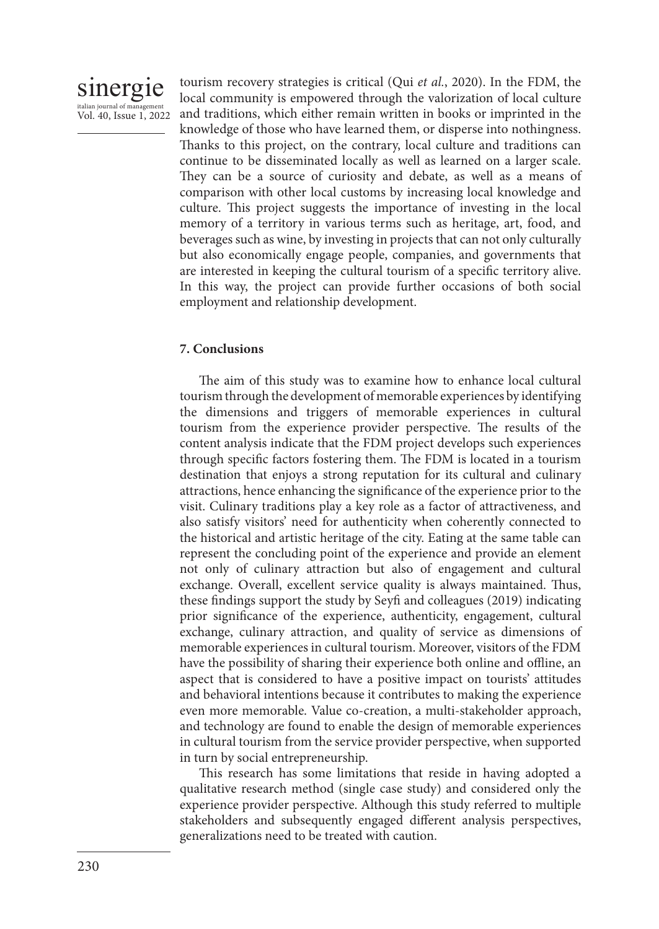

tourism recovery strategies is critical (Qui *et al.*, 2020). In the FDM, the local community is empowered through the valorization of local culture and traditions, which either remain written in books or imprinted in the knowledge of those who have learned them, or disperse into nothingness. Thanks to this project, on the contrary, local culture and traditions can continue to be disseminated locally as well as learned on a larger scale. They can be a source of curiosity and debate, as well as a means of comparison with other local customs by increasing local knowledge and culture. This project suggests the importance of investing in the local memory of a territory in various terms such as heritage, art, food, and beverages such as wine, by investing in projects that can not only culturally but also economically engage people, companies, and governments that are interested in keeping the cultural tourism of a specific territory alive. In this way, the project can provide further occasions of both social employment and relationship development.

## **7. Conclusions**

The aim of this study was to examine how to enhance local cultural tourism through the development of memorable experiences by identifying the dimensions and triggers of memorable experiences in cultural tourism from the experience provider perspective. The results of the content analysis indicate that the FDM project develops such experiences through specific factors fostering them. The FDM is located in a tourism destination that enjoys a strong reputation for its cultural and culinary attractions, hence enhancing the significance of the experience prior to the visit. Culinary traditions play a key role as a factor of attractiveness, and also satisfy visitors' need for authenticity when coherently connected to the historical and artistic heritage of the city. Eating at the same table can represent the concluding point of the experience and provide an element not only of culinary attraction but also of engagement and cultural exchange. Overall, excellent service quality is always maintained. Thus, these findings support the study by Seyfi and colleagues (2019) indicating prior significance of the experience, authenticity, engagement, cultural exchange, culinary attraction, and quality of service as dimensions of memorable experiences in cultural tourism. Moreover, visitors of the FDM have the possibility of sharing their experience both online and offline, an aspect that is considered to have a positive impact on tourists' attitudes and behavioral intentions because it contributes to making the experience even more memorable. Value co-creation, a multi-stakeholder approach, and technology are found to enable the design of memorable experiences in cultural tourism from the service provider perspective, when supported in turn by social entrepreneurship.

This research has some limitations that reside in having adopted a qualitative research method (single case study) and considered only the experience provider perspective. Although this study referred to multiple stakeholders and subsequently engaged different analysis perspectives, generalizations need to be treated with caution.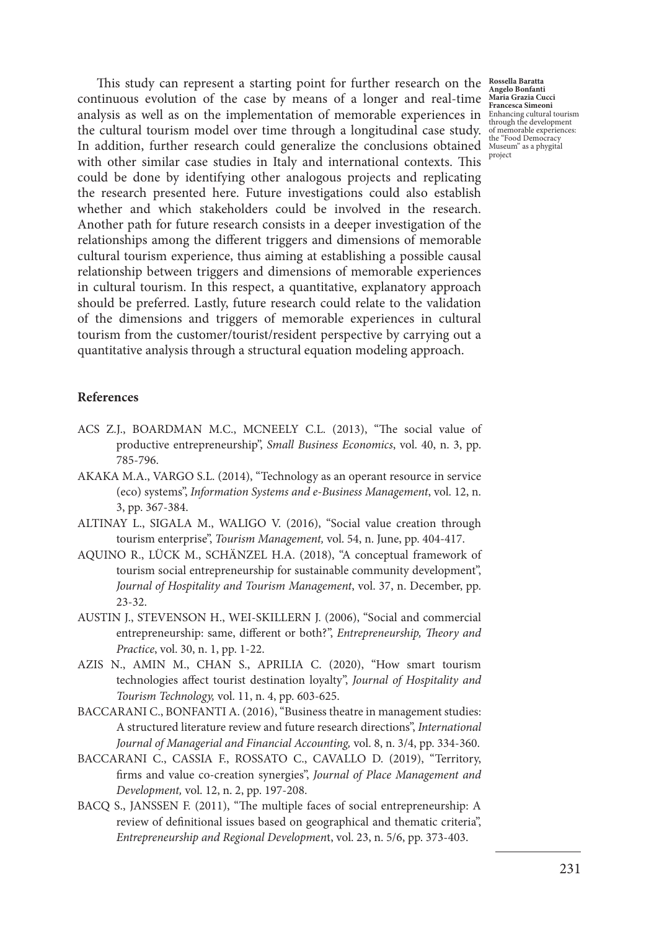This study can represent a starting point for further research on the **Rossella Baratta**  continuous evolution of the case by means of a longer and real-time **Angelo Bonfanti Maria Grazia Cucci Francesca Simeoni** analysis as well as on the implementation of memorable experiences in Enhancing cultural tourism through the development the cultural tourism model over time through a longitudinal case study. In addition, further research could generalize the conclusions obtained with other similar case studies in Italy and international contexts. This could be done by identifying other analogous projects and replicating the research presented here. Future investigations could also establish whether and which stakeholders could be involved in the research. Another path for future research consists in a deeper investigation of the relationships among the different triggers and dimensions of memorable cultural tourism experience, thus aiming at establishing a possible causal relationship between triggers and dimensions of memorable experiences in cultural tourism. In this respect, a quantitative, explanatory approach should be preferred. Lastly, future research could relate to the validation of the dimensions and triggers of memorable experiences in cultural tourism from the customer/tourist/resident perspective by carrying out a quantitative analysis through a structural equation modeling approach.

## **References**

- ACS Z.J., BOARDMAN M.C., MCNEELY C.L. (2013), "The social value of productive entrepreneurship", *Small Business Economics*, vol. 40, n. 3, pp. 785-796.
- AKAKA M.A., VARGO S.L. (2014), "Technology as an operant resource in service (eco) systems", *Information Systems and e-Business Management*, vol. 12, n. 3, pp. 367-384.
- ALTINAY L., SIGALA M., WALIGO V. (2016), "Social value creation through tourism enterprise", *Tourism Management,* vol. 54, n. June, pp. 404-417.
- AQUINO R., LÜCK M., SCHÄNZEL H.A. (2018), "A conceptual framework of tourism social entrepreneurship for sustainable community development", *Journal of Hospitality and Tourism Management*, vol. 37, n. December, pp. 23-32.
- AUSTIN J., STEVENSON H., WEI-SKILLERN J. (2006), "Social and commercial entrepreneurship: same, different or both?", *Entrepreneurship, Theory and Practice*, vol. 30, n. 1, pp. 1-22.
- AZIS N., AMIN M., CHAN S., APRILIA C. (2020), "How smart tourism technologies affect tourist destination loyalty", *Journal of Hospitality and Tourism Technology,* vol. 11, n. 4, pp. 603-625.
- BACCARANI C., BONFANTI A. (2016), "Business theatre in management studies: A structured literature review and future research directions", *International Journal of Managerial and Financial Accounting,* vol. 8, n. 3/4, pp. 334-360.
- BACCARANI C., CASSIA F., ROSSATO C., CAVALLO D. (2019), "Territory, firms and value co-creation synergies", *Journal of Place Management and Development,* vol. 12, n. 2, pp. 197-208.
- BACQ S., JANSSEN F. (2011), "The multiple faces of social entrepreneurship: A review of definitional issues based on geographical and thematic criteria", *Entrepreneurship and Regional Developmen*t, vol. 23, n. 5/6, pp. 373-403.

of memorable experiences: the "Food Democracy Museum" as a phygital project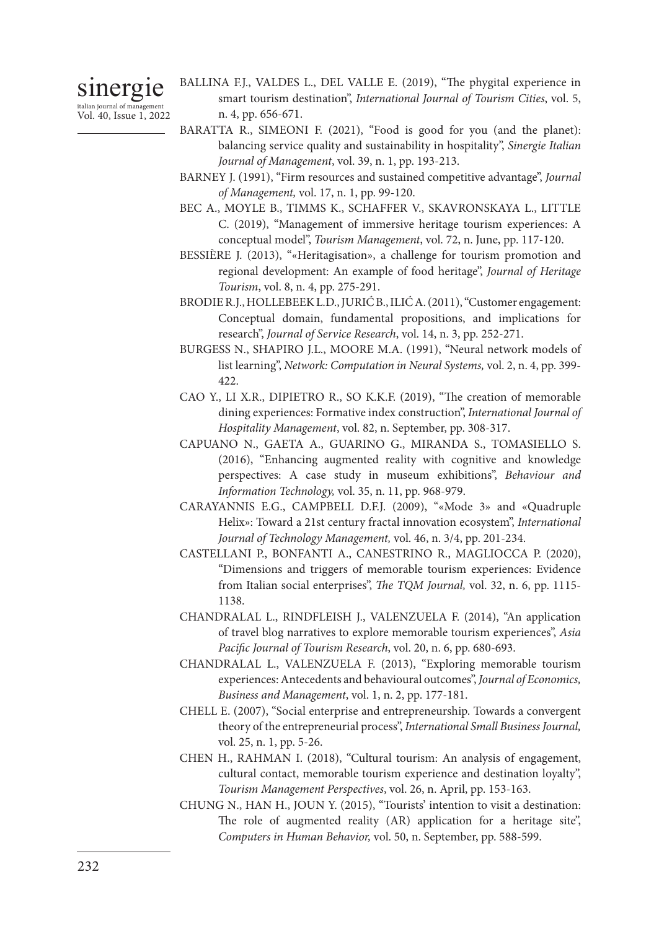# sinergie

italian journal of management Vol. 40, Issue 1, 2022

- BALLINA F.J., VALDES L., DEL VALLE E. (2019), "The phygital experience in smart tourism destination", *International Journal of Tourism Cities*, vol. 5, n. 4, pp. 656-671.
- BARATTA R., SIMEONI F. (2021), "Food is good for you (and the planet): balancing service quality and sustainability in hospitality", *Sinergie Italian Journal of Management*, vol. 39, n. 1, pp. 193-213.
- BARNEY J. (1991), "Firm resources and sustained competitive advantage", *Journal of Management,* vol. 17, n. 1, pp. 99-120.
- BEC A., MOYLE B., TIMMS K., SCHAFFER V., SKAVRONSKAYA L., LITTLE C. (2019), "Management of immersive heritage tourism experiences: A conceptual model", *Tourism Management*, vol. 72, n. June, pp. 117-120.
- BESSIÈRE J. (2013), "«Heritagisation», a challenge for tourism promotion and regional development: An example of food heritage", *Journal of Heritage Tourism*, vol. 8, n. 4, pp. 275-291.
- BRODIE R.J., HOLLEBEEK L.D., JURIĆ B., ILIĆ A. (2011), "Customer engagement: Conceptual domain, fundamental propositions, and implications for research", *Journal of Service Research*, vol. 14, n. 3, pp. 252-271.
- BURGESS N., SHAPIRO J.L., MOORE M.A. (1991), "Neural network models of list learning", *Network: Computation in Neural Systems,* vol. 2, n. 4, pp. 399- 422.
- CAO Y., LI X.R., DIPIETRO R., SO K.K.F. (2019), "The creation of memorable dining experiences: Formative index construction", *International Journal of Hospitality Management*, vol. 82, n. September, pp. 308-317.
- CAPUANO N., GAETA A., GUARINO G., MIRANDA S., TOMASIELLO S. (2016), "Enhancing augmented reality with cognitive and knowledge perspectives: A case study in museum exhibitions", *Behaviour and Information Technology,* vol. 35, n. 11, pp. 968-979.
- CARAYANNIS E.G., CAMPBELL D.F.J. (2009), "«Mode 3» and «Quadruple Helix»: Toward a 21st century fractal innovation ecosystem", *International Journal of Technology Management,* vol. 46, n. 3/4, pp. 201-234.
- CASTELLANI P., BONFANTI A., CANESTRINO R., MAGLIOCCA P. (2020), "Dimensions and triggers of memorable tourism experiences: Evidence from Italian social enterprises", *The TQM Journal,* vol. 32, n. 6, pp. 1115- 1138.
- CHANDRALAL L., RINDFLEISH J., VALENZUELA F. (2014), "An application of travel blog narratives to explore memorable tourism experiences", *Asia Pacific Journal of Tourism Research*, vol. 20, n. 6, pp. 680-693.
- CHANDRALAL L., VALENZUELA F. (2013), "Exploring memorable tourism experiences: Antecedents and behavioural outcomes", *Journal of Economics, Business and Management*, vol. 1, n. 2, pp. 177-181.
- CHELL E. (2007), "Social enterprise and entrepreneurship. Towards a convergent theory of the entrepreneurial process", *International Small Business Journal,* vol. 25, n. 1, pp. 5-26.
- CHEN H., RAHMAN I. (2018), "Cultural tourism: An analysis of engagement, cultural contact, memorable tourism experience and destination loyalty", *Tourism Management Perspectives*, vol. 26, n. April, pp. 153-163.
- CHUNG N., HAN H., JOUN Y. (2015), "Tourists' intention to visit a destination: The role of augmented reality (AR) application for a heritage site", *Computers in Human Behavior,* vol. 50, n. September, pp. 588-599.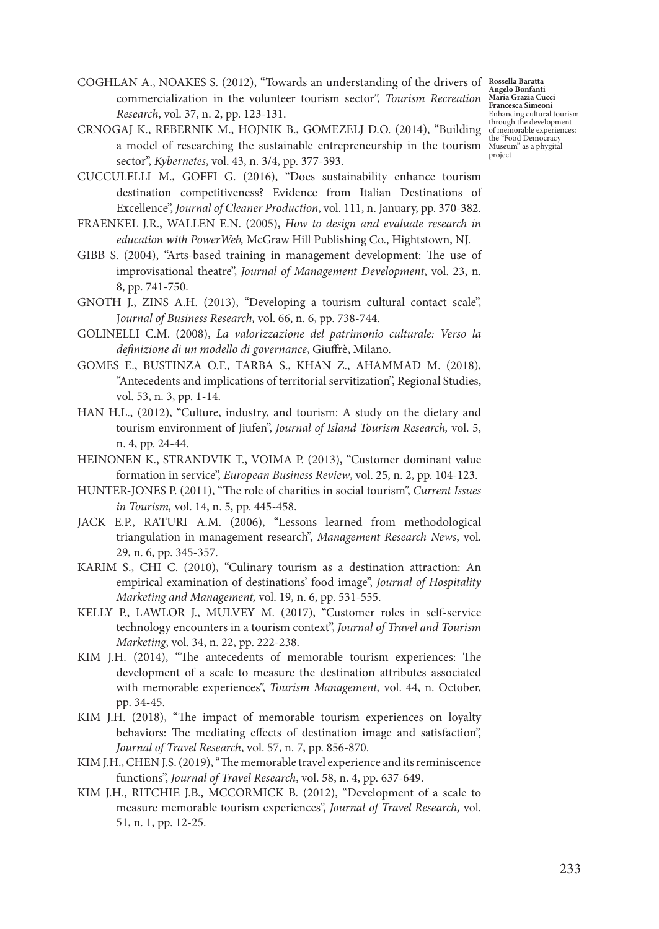COGHLAN A., NOAKES S. (2012), "Towards an understanding of the drivers of **Rossella Baratta**  commercialization in the volunteer tourism sector", *Tourism Recreation Research*, vol. 37, n. 2, pp. 123-131.

CRNOGAJ K., REBERNIK M., HOJNIK B., GOMEZELJ D.O. (2014), "Building a model of researching the sustainable entrepreneurship in the tourism sector", *Kybernetes*, vol. 43, n. 3/4, pp. 377-393.

CUCCULELLI M., GOFFI G. (2016), "Does sustainability enhance tourism destination competitiveness? Evidence from Italian Destinations of Excellence", *Journal of Cleaner Production*, vol. 111, n. January, pp. 370-382.

- FRAENKEL J.R., WALLEN E.N. (2005), *How to design and evaluate research in education with PowerWeb,* McGraw Hill Publishing Co., Hightstown, NJ.
- GIBB S. (2004), "Arts-based training in management development: The use of improvisational theatre", *Journal of Management Development*, vol. 23, n. 8, pp. 741-750.
- GNOTH J., ZINS A.H. (2013), "Developing a tourism cultural contact scale", J*ournal of Business Research,* vol. 66, n. 6, pp. 738-744.
- GOLINELLI C.M. (2008), *La valorizzazione del patrimonio culturale: Verso la definizione di un modello di governance*, Giuffrè, Milano.
- GOMES E., BUSTINZA O.F., TARBA S., KHAN Z., AHAMMAD M. (2018), "Antecedents and implications of territorial servitization", Regional Studies, vol. 53, n. 3, pp. 1-14.
- HAN H.L., (2012), "Culture, industry, and tourism: A study on the dietary and tourism environment of Jiufen", *Journal of Island Tourism Research,* vol. 5, n. 4, pp. 24-44.
- HEINONEN K., STRANDVIK T., VOIMA P. (2013), "Customer dominant value formation in service", *European Business Review*, vol. 25, n. 2, pp. 104-123.
- HUNTER-JONES P. (2011), "The role of charities in social tourism", *Current Issues in Tourism,* vol. 14, n. 5, pp. 445-458.
- JACK E.P., RATURI A.M. (2006), "Lessons learned from methodological triangulation in management research", *Management Research News*, vol. 29, n. 6, pp. 345-357.
- KARIM S., CHI C. (2010), "Culinary tourism as a destination attraction: An empirical examination of destinations' food image", *Journal of Hospitality Marketing and Management,* vol. 19, n. 6, pp. 531-555.
- KELLY P., LAWLOR J., MULVEY M. (2017), "Customer roles in self-service technology encounters in a tourism context", *Journal of Travel and Tourism Marketing*, vol. 34, n. 22, pp. 222-238.
- KIM J.H. (2014), "The antecedents of memorable tourism experiences: The development of a scale to measure the destination attributes associated with memorable experiences", *Tourism Management,* vol. 44, n. October, pp. 34-45.
- KIM J.H. (2018), "The impact of memorable tourism experiences on loyalty behaviors: The mediating effects of destination image and satisfaction", *Journal of Travel Research*, vol. 57, n. 7, pp. 856-870.
- KIM J.H., CHEN J.S. (2019), "The memorable travel experience and its reminiscence functions", *Journal of Travel Research*, vol. 58, n. 4, pp. 637-649.
- KIM J.H., RITCHIE J.B., MCCORMICK B. (2012), "Development of a scale to measure memorable tourism experiences", *Journal of Travel Research,* vol. 51, n. 1, pp. 12-25.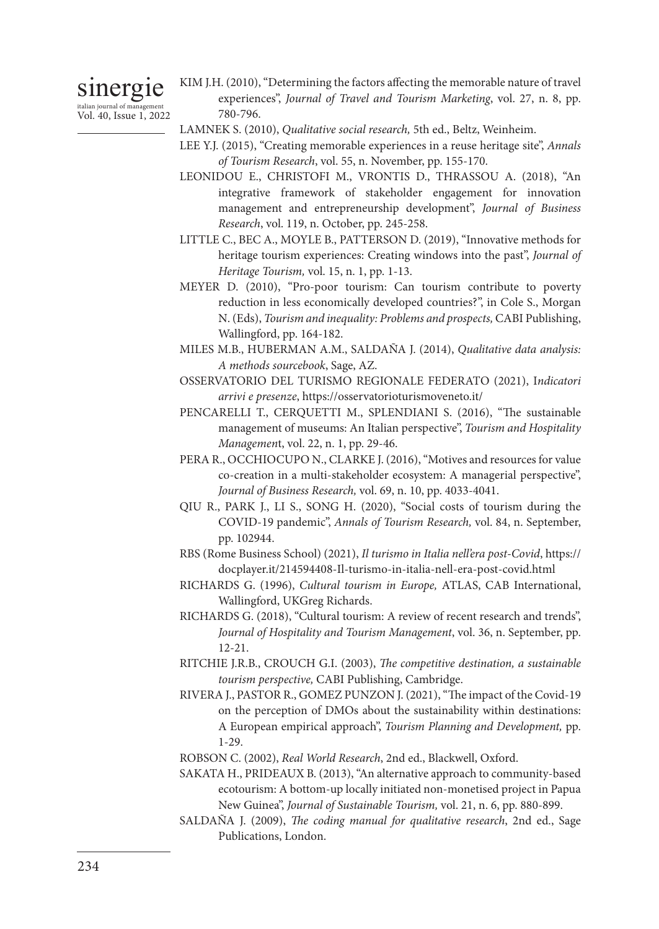# sinergie italian journal of management

Vol. 40, Issue 1, 2022

- KIM J.H. (2010), "Determining the factors affecting the memorable nature of travel experiences", *Journal of Travel and Tourism Marketing*, vol. 27, n. 8, pp. 780-796.
- LAMNEK S. (2010), *Qualitative social research,* 5th ed., Beltz, Weinheim.
- LEE Y.J. (2015), "Creating memorable experiences in a reuse heritage site", *Annals of Tourism Research*, vol. 55, n. November, pp. 155-170.
- LEONIDOU E., CHRISTOFI M., VRONTIS D., THRASSOU A. (2018), "An integrative framework of stakeholder engagement for innovation management and entrepreneurship development", *Journal of Business Research*, vol. 119, n. October, pp. 245-258.
- LITTLE C., BEC A., MOYLE B., PATTERSON D. (2019), "Innovative methods for heritage tourism experiences: Creating windows into the past", *Journal of Heritage Tourism,* vol. 15, n. 1, pp. 1-13.
- MEYER D. (2010), "Pro-poor tourism: Can tourism contribute to poverty reduction in less economically developed countries?", in Cole S., Morgan N. (Eds), *Tourism and inequality: Problems and prospects,* CABI Publishing, Wallingford, pp. 164-182.
- MILES M.B., HUBERMAN A.M., SALDAÑA J. (2014), *Qualitative data analysis: A methods sourcebook*, Sage, AZ.
- OSSERVATORIO DEL TURISMO REGIONALE FEDERATO (2021), I*ndicatori arrivi e presenze*, https://osservatorioturismoveneto.it/
- PENCARELLI T., CERQUETTI M., SPLENDIANI S. (2016), "The sustainable management of museums: An Italian perspective", *Tourism and Hospitality Managemen*t, vol. 22, n. 1, pp. 29-46.
- PERA R., OCCHIOCUPO N., CLARKE J. (2016), "Motives and resources for value co-creation in a multi-stakeholder ecosystem: A managerial perspective", *Journal of Business Research,* vol. 69, n. 10, pp. 4033-4041.
- QIU R., PARK J., LI S., SONG H. (2020), "Social costs of tourism during the COVID-19 pandemic", *Annals of Tourism Research,* vol. 84, n. September, pp. 102944.
- RBS (Rome Business School) (2021), *Il turismo in Italia nell'era post-Covid*, https:// docplayer.it/214594408-Il-turismo-in-italia-nell-era-post-covid.html
- RICHARDS G. (1996), *Cultural tourism in Europe,* ATLAS, CAB International, Wallingford, UKGreg Richards.
- RICHARDS G. (2018), "Cultural tourism: A review of recent research and trends", *Journal of Hospitality and Tourism Management*, vol. 36, n. September, pp. 12-21.
- RITCHIE J.R.B., CROUCH G.I. (2003), *The competitive destination, a sustainable tourism perspective,* CABI Publishing, Cambridge.
- RIVERA J., PASTOR R., GOMEZ PUNZON J. (2021), "The impact of the Covid-19 on the perception of DMOs about the sustainability within destinations: A European empirical approach", *Tourism Planning and Development,* pp. 1-29.
- ROBSON C. (2002), *Real World Research*, 2nd ed., Blackwell, Oxford.
- SAKATA H., PRIDEAUX B. (2013), "An alternative approach to community-based ecotourism: A bottom-up locally initiated non-monetised project in Papua New Guinea", *Journal of Sustainable Tourism,* vol. 21, n. 6, pp. 880-899.
- SALDAÑA J. (2009), *The coding manual for qualitative research*, 2nd ed., Sage Publications, London.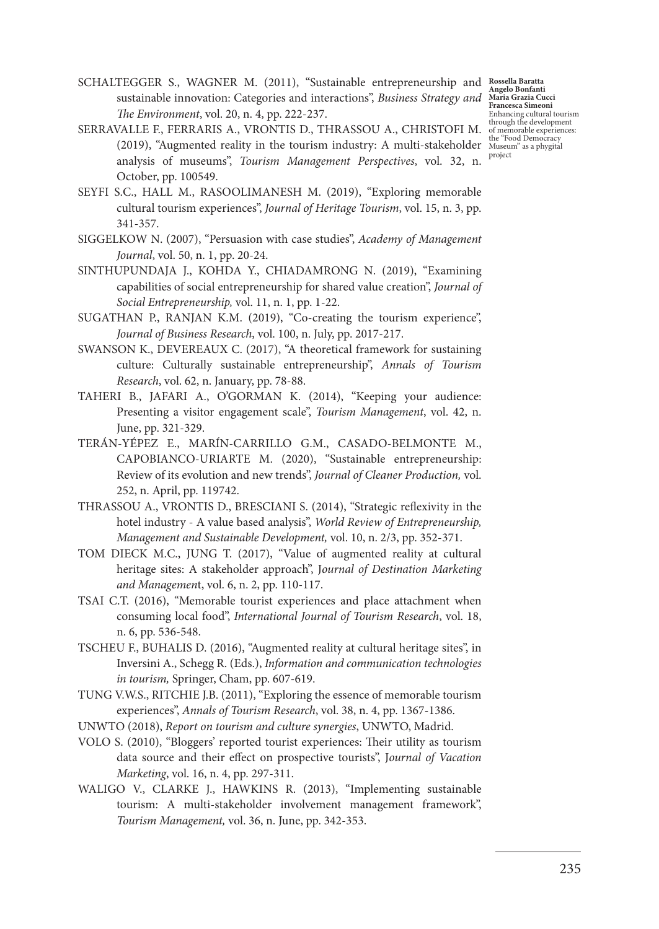**Angelo Bonfanti Maria Grazia Cucci Francesca Simeoni** Enhancing cultural tourism through the development of memorable experiences:

- SCHALTEGGER S., WAGNER M. (2011), "Sustainable entrepreneurship and **Rossella Baratta**  sustainable innovation: Categories and interactions", *Business Strategy and The Environment*, vol. 20, n. 4, pp. 222-237.
- SERRAVALLE F., FERRARIS A., VRONTIS D., THRASSOU A., CHRISTOFI M. (2019), "Augmented reality in the tourism industry: A multi-stakeholder the "Food Democracy Museum" as a phygital analysis of museums", *Tourism Management Perspectives*, vol. 32, n. October, pp. 100549. project
- SEYFI S.C., HALL M., RASOOLIMANESH M. (2019), "Exploring memorable cultural tourism experiences", *Journal of Heritage Tourism*, vol. 15, n. 3, pp. 341-357.
- SIGGELKOW N. (2007), "Persuasion with case studies", *Academy of Management Journal*, vol. 50, n. 1, pp. 20-24.
- SINTHUPUNDAJA J., KOHDA Y., CHIADAMRONG N. (2019), "Examining capabilities of social entrepreneurship for shared value creation", *Journal of Social Entrepreneurship,* vol. 11, n. 1, pp. 1-22.
- SUGATHAN P., RANJAN K.M. (2019), "Co-creating the tourism experience", *Journal of Business Research*, vol. 100, n. July, pp. 2017-217.
- SWANSON K., DEVEREAUX C. (2017), "A theoretical framework for sustaining culture: Culturally sustainable entrepreneurship", *Annals of Tourism Research*, vol. 62, n. January, pp. 78-88.
- TAHERI B., JAFARI A., O'GORMAN K. (2014), "Keeping your audience: Presenting a visitor engagement scale", *Tourism Management*, vol. 42, n. June, pp. 321-329.
- TERÁN-YÉPEZ E., MARÍN-CARRILLO G.M., CASADO-BELMONTE M., CAPOBIANCO-URIARTE M. (2020), "Sustainable entrepreneurship: Review of its evolution and new trends", *Journal of Cleaner Production,* vol. 252, n. April, pp. 119742.
- THRASSOU A., VRONTIS D., BRESCIANI S. (2014), "Strategic reflexivity in the hotel industry - A value based analysis", *World Review of Entrepreneurship, Management and Sustainable Development,* vol. 10, n. 2/3, pp. 352-371.
- TOM DIECK M.C., JUNG T. (2017), "Value of augmented reality at cultural heritage sites: A stakeholder approach", J*ournal of Destination Marketing and Managemen*t, vol. 6, n. 2, pp. 110-117.
- TSAI C.T. (2016), "Memorable tourist experiences and place attachment when consuming local food", *International Journal of Tourism Research*, vol. 18, n. 6, pp. 536-548.
- TSCHEU F., BUHALIS D. (2016), "Augmented reality at cultural heritage sites", in Inversini A., Schegg R. (Eds.), *Information and communication technologies in tourism,* Springer, Cham, pp. 607-619.
- TUNG V.W.S., RITCHIE J.B. (2011), "Exploring the essence of memorable tourism experiences", *Annals of Tourism Research*, vol. 38, n. 4, pp. 1367-1386.
- UNWTO (2018), *Report on tourism and culture synergies*, UNWTO, Madrid.
- VOLO S. (2010), "Bloggers' reported tourist experiences: Their utility as tourism data source and their effect on prospective tourists", J*ournal of Vacation Marketing*, vol. 16, n. 4, pp. 297-311.
- WALIGO V., CLARKE J., HAWKINS R. (2013), "Implementing sustainable tourism: A multi-stakeholder involvement management framework", *Tourism Management,* vol. 36, n. June, pp. 342-353.